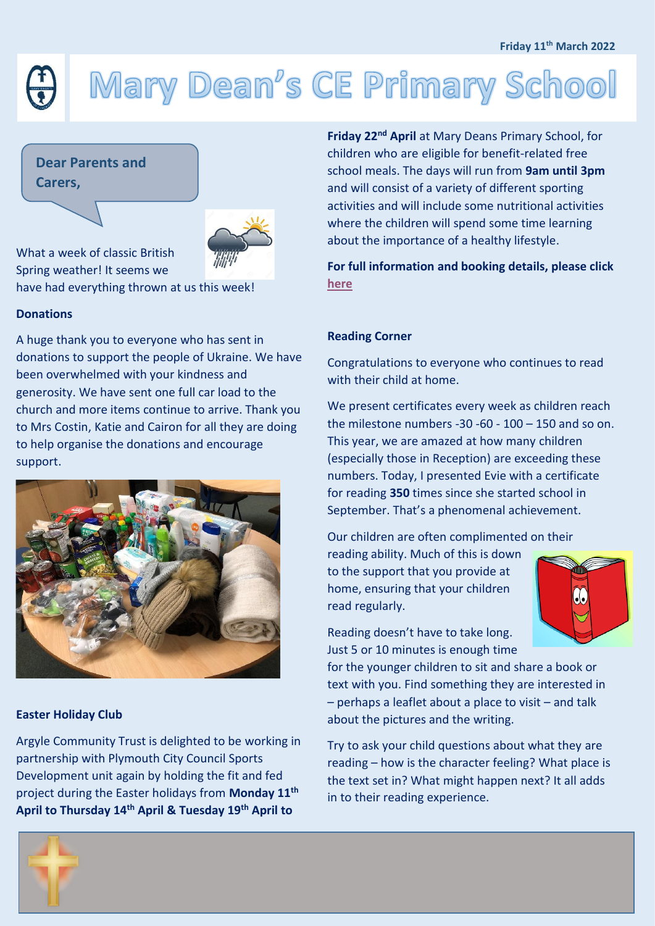#### **Friday 11th March 2022**

# Mary Dean's CE Primary School

 **Carers,Dear Parents and** 



What a week of classic British Spring weather! It seems we have had everything thrown at us this week!

## **Donations**

A huge thank you to everyone who has sent in donations to support the people of Ukraine. We have been overwhelmed with your kindness and generosity. We have sent one full car load to the church and more items continue to arrive. Thank you to Mrs Costin, Katie and Cairon for all they are doing to help organise the donations and encourage support.



# **Easter Holiday Club**

Argyle Community Trust is delighted to be working in partnership with Plymouth City Council Sports Development unit again by holding the fit and fed project during the Easter holidays from **Monday 11th April to Thursday 14th April & Tuesday 19th April to** 

**Friday 22nd April** at Mary Deans Primary School, for children who are eligible for benefit-related free school meals. The days will run from **9am until 3pm** and will consist of a variety of different sporting activities and will include some nutritional activities where the children will spend some time learning about the importance of a healthy lifestyle.

**For full information and booking details, please click [here](https://www.marydeansprimaryschool.co.uk/newsletters)**

#### **Reading Corner**

Congratulations to everyone who continues to read with their child at home.

We present certificates every week as children reach the milestone numbers  $-30 - 60 - 100 - 150$  and so on. This year, we are amazed at how many children (especially those in Reception) are exceeding these numbers. Today, I presented Evie with a certificate for reading **350** times since she started school in September. That's a phenomenal achievement.

Our children are often complimented on their

reading ability. Much of this is down to the support that you provide at home, ensuring that your children read regularly.



Reading doesn't have to take long. Just 5 or 10 minutes is enough time

for the younger children to sit and share a book or text with you. Find something they are interested in – perhaps a leaflet about a place to visit – and talk about the pictures and the writing.

Try to ask your child questions about what they are reading – how is the character feeling? What place is the text set in? What might happen next? It all adds in to their reading experience.